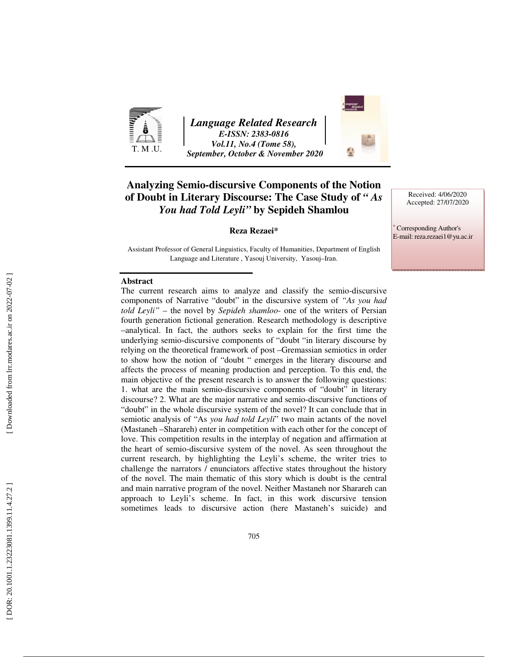

*Language Related Research E-ISSN: 2383-0816 Vol.11, No.4 (Tome 58), September, October & November 2020* 



## **Analyzing Semio-discursive Components of the Notion of Doubt in Literary Discourse: The Case Study of** *" As You had Told Leyli"* **by Sepideh Shamlou**

#### **Reza Rezaei\***

Assistant Professor of General Linguistics, Faculty of Humanities, Department of English Language and Literature , Yasouj University, Yasouj–Iran.

#### **Abstract**

The current research aims to analyze and classify the semio-discursive components of Narrative "doubt" in the discursive system of *"As you had told Leyli"* – the novel by *Sepideh shamloo*- one of the writers of Persian fourth generation fictional generation. Research methodology is descriptive –analytical. In fact, the authors seeks to explain for the first time the underlying semio-discursive components of "doubt "in literary discourse by relying on the theoretical framework of post –Gremassian semiotics in order to show how the notion of "doubt " emerges in the literary discourse and affects the process of meaning production and perception. To this end, the main objective of the present research is to answer the following questions: 1. what are the main semio-discursive components of "doubt" in literary discourse? 2. What are the major narrative and semio-discursive functions of "doubt" in the whole discursive system of the novel? It can conclude that in semiotic analysis of "As *you had told Leyli*" two main actants of the novel (Mastaneh –Sharareh) enter in competition with each other for the concept of love. This competition results in the interplay of negation and affirmation at the heart of semio-discursive system of the novel. As seen throughout the current research, by highlighting the Leyli's scheme, the writer tries to challenge the narrators / enunciators affective states throughout the history of the novel. The main thematic of this story which is doubt is the central and main narrative program of the novel. Neither Mastaneh nor Sharareh can approach to Leyli's scheme. In fact, in this work discursive tension sometimes leads to discursive action (here Mastaneh's suicide) and

∗ Corresponding Author's E-mail: reza.rezaei1@yu.ac.ir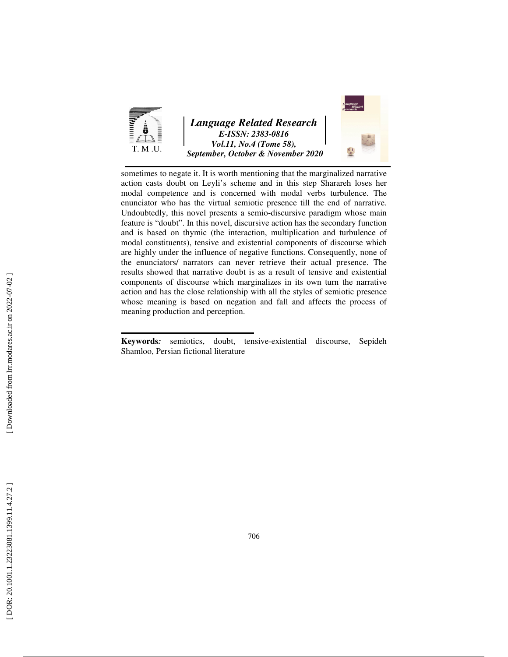



sometimes to negate it. It is worth mentioning that the marginalized narrative action casts doubt on Leyli's scheme and in this step Sharareh loses her modal competence and is concerned with modal verbs turbulence. The enunciator who has the virtual semiotic presence till the end of narrative. Undoubtedly, this novel presents a semio-discursive paradigm whose main feature is "doubt". In this novel, discursive action has the secondary function and is based on thymic (the interaction, multiplication and turbulence of modal constituents), tensive and existential components of discourse which are highly under the influence of negative functions. Consequently, none of the enunciators/ narrators can never retrieve their actual presence. The results showed that narrative doubt is as a result of tensive and existential components of discourse which marginalizes in its own turn the narrative action and has the close relationship with all the styles of semiotic presence whose meaning is based on negation and fall and affects the process of meaning production and perception.

**Keywords***:* semiotics, doubt, tensive-existential discourse, Sepideh Shamloo, Persian fictional literature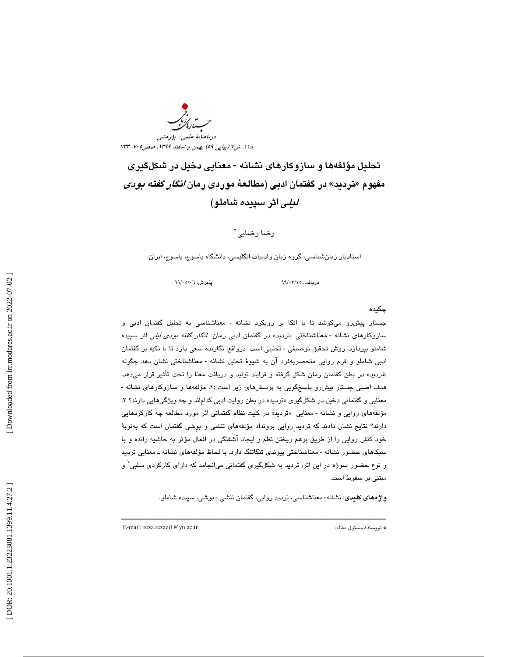دا ۱، ش% (پياپي ٥٩) بهمن و اسفند ١٣٩٩، صصر٢٠٥-٧٣٣ دوماهنامة علمي- پژوهشي

تحليل مؤلفهها و سازوكارهاي نشانه **-** معنايي دخيل در شكلگيري مفهوم «تردید» در گفتمان ادبی (مطالعهٔ موردی رمان *انگار گفته بودی* ليلي اثر سپيده شاملو)

رضا رضايي \*

استاديار زبانشناسي، گروه زبان وادبيات انگليسي، دانشگاه ياسوج، ياسوج، ايران.

دريافت: 15/ 03/ 99 پذيرش: 06/ 05/ 99

## چكيده

جستار پيش رو مىكوشد تا با اتكا بر رويكرد نشانه - معناشناسى به تحليل گفتمان ادبى و سازوکارهای نشانه - معناشناختی «تردید» در گفتمان ادبی رمان *انگار گفته بودی لیلی* اثر سپیده شاملو بپردازد. روش تحقيق توصيفي - تحليلي است. درواقع، نگارنده سعي دارد تا با تكيه بر گفتمان ادبي شاملو و فرم روايي منحصربهفرد آن به شيوهٔ تحليل نشانه - معناشناختي نشان دهد چگونه «*تردید*» در بطن گفتمان رمان شکل گرفته و فرایند تولید و دریافت معنا را تحت تأثیر قرار میدهد.<br>هدف اصلی جستار پیشرو پاسخگویی به پرسشهای زیر است :۱. مؤلفهها و سازوکارهای نشانه -معنايي و گفتماني دخيل در شكلگيري «ترديد» در بطن روايت ادبي كداماند و چه ويژگيهايي دارند؟ ۲. مؤلفههای روایی و نشانه - معنایی «تردید» در کلیت نظام گفتمانی اثر مورد مطالعه چه کارکردهایی دارند؟ نتايج نشان دادند كه ترديد ِروايي برونداد مؤلفههاي تنشي و بوِشي گفتمان است كه بهنوبة خود كنش روايي را از طريق برهم ريختن نظم و ايجاد آشفتگي در افعال مؤثر به حاشيه رانده و با سبکهای حضور نشانه - معناشناختی پیوندی تنگاتنگ دارد. با لحاظ مؤلفههای نشانه ـ معنایی تردید و نوع حضور سوژه در اين اثر، ترديد به شكلگيري گفتماني ميانجامد كه داراي كاركردي سلبي 1 و مبتني بر سقوط است.

**واژههای کلیدی**: نشانه- معناشناسی، تردیدِ روایی، گفتمان تنشی - بوشی، سپیده شاملو.

ــــــــــــــــــــــــــــــــــــــــــــــــــــــــــــــــــــــــــــــــــــــــــــــــــــــــــــــــــــــــــــــــــــــــــ

E-mail: reza.rezaei1@yu.ac.ir :مقاله مسئول نويسندة\*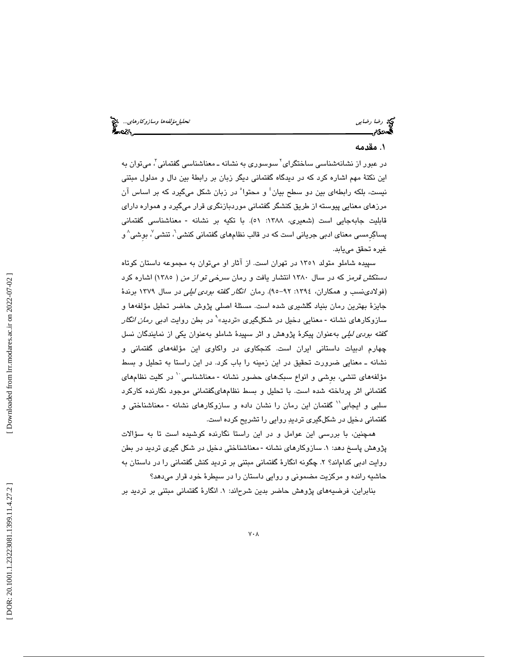رضا رضاي<sub>ي</sub> تحتج رضا باست تحليل مؤلفه ها وسازوكارهاي.... وتحتي تحليل مؤلفه ها وسازوكارهاي... وتحتي المجازية المج<br>المجموعة وسيس المجازية المجازية المجازية المجازية المجازية المجازية المجازية المجازية المجازية المجازية المج

#### 1. مقدمه

در عبور از نشانهشناسی ساختگرای<sup>۲</sup> سوسوری به نشانه ـ معناشناسی گفتمانی<sup>۳</sup>، میتوان به اين نكتهٔ مهم اشاره كرد كه در ديدگاه گفتماني ديگر زبان بر رابطهٔ بين دال و مدلول مبتني نيست، بلكه رابطهاى بين دو سطح بيان<sup>؛</sup> و محتوا<sup>ه</sup> در زبان شكل مىگيرد كه بر اساس آن مرزهاي معنايي پيوسته از طريق كنشگر گفتماني موردبازنگر ي قرار م يگيرد و همواره داراي قابليت جابهجايي است (شعيري، ١٣٨٨: ٥١). با تكيه بر نشانه - معناشناسي گفتماني پساگِرمسی معنای ادبی جریانی است که در قالب نظامهای گفتمانی کنشی'، تنشی $\langle$  بوشی $\rangle$  و غيره تحقق مىيابد.

سپيده شاملو متولد 1351 در تهران است. از آثار او ميتوان به مجموعه داستان كوتاه دستكش قرمز كه در سال 1380 انتشار يافت و رمان سرخي تو از من ( 1385) اشاره كرد (فولادینسب و همکاران، ١٣٩٤: ٩٢-٩٥). رمان *انگار گفته بودی لیلی* در سال ١٣٧٩ برندهٔ جایزهٔ بهترین رمان بنیاد گلشیری شده است. مسئلهٔ اصلی پژوش حاضر تحلیل مؤلفهها و<br>سازوکارهای نشانه - معنایی دخیل در شکلگیری «تردید»<sup>۹</sup> در بطن روایت ادب*ی رمان انگار* گف*ته بودي ليلي* به عنوان پيكرهٔ پژوهش و اثر سپيدهٔ شاملو به عنوان يكي از نمايندگان نسل چهارم ادبيات داستاني ايران است. كنجكاوي در واكاوي اين مؤلفههاي گفتماني و نشانه ـ معنايي ضرورت تحقيق در اين زمينه را باب كرد. در اين راستا به تحليل و بسط مؤلفههای تنشی، بوشی و انواع سبکهای حضور نشانه -معناشناسی `` در کلیت نظامهای گفتماني اثر پرداخته شده است. با تحليل و بسط نظامهايگفتماني موجود نگارنده كاركرد سلبي و ايجابي'` گفتمان اين رمان را نشان داده و سازوكارهاي نشانه - معناشناختي و گفتماني دخيل در شكلگيري ترديد روايي را تشريح كرده است.

همچنين، با بررسي اين عوامل و در اين راستا نگارنده كوشيده است تا به سؤالات پژوهش پاسخ دهد: ۱. سازوكارهای نشانه -معناشناختی دخیل در شكل گیری تردید در بطن روايت ادبي كدام|ند؟ ۲. چگونه انگارهٔ گفتمانی مبتنی بر ترديد كنش گفتمانی را در داستان به . حاشيه رانده و مركزيت مضموني و روايي داستان را در سيطرة خود قرار ميدهد؟

بنابراين، فرضيههای پژوهش حاضر بدين شرحاند: ۱. انگارهٔ گفتمانی مبتنی بر ترديد بر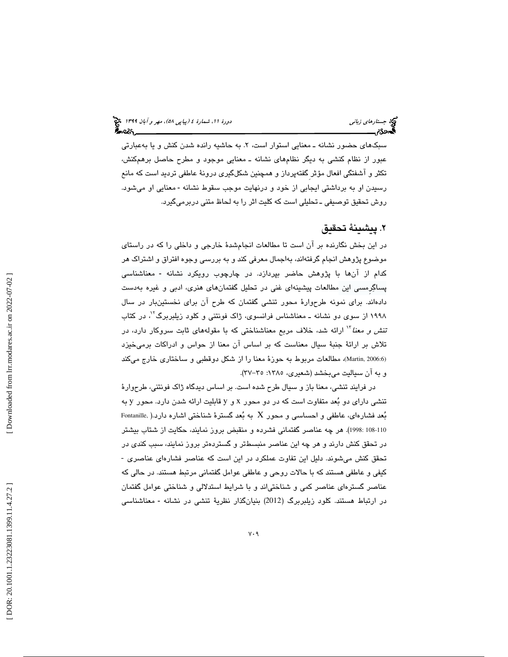سبکهای حضور نشانه ـ معنایی استوار است، ۲. به حاشیه رانده شدن کنش و یا بهعبارتی عبور از نظام كنشي به ديگر نظامهاي نشانه ـ معنايي موجود و مطرح حاصل برهمكنش، تكثر و آشفتگي افعال مؤثر ِگفتهپرداز و همچنين شكلگيري درونة عاطفي ترديد است كه مانع رسيدن او به برداشتي ايجابي از خود و درنهايت موجب سقوط نشانه -معنايي او ميشود. روش تحقيق توصيفي ـ تحليلي است كه كليت اثر را به لحاظ متني دربرميگيرد.

## 2. پيشينة تحقيق

در اين بخش نگارنده بر آن است تا مطالعات انجامشدة خارجي و داخلي را كه در راستاي موضوع پژوهش انجام گرفتهاند، بهاجمال معرفي كند و به بررسي وجوه افتراق و اشتراك هر كدام از آنها با پژوهش حاضر بپردازد. در چارچوب رويكرد نشانه - معناشناسى پساگرِمسي اين مطالعات پيشينهاي غني در تحليل گفتمانهاي هنري، ادبي و غيره بهدست دادهاند. براي نمونه طرحوارهٔ محور تنشي گفتمان که طرح ان براي نخستينبار در سال ۱۹۹۸ از سوی دو نشانه ــ معناشناس فرانسوی، ژاک فونتنی و کلود زیلبربرگ<sup>۰۲</sup>، در کتاب تن*ش و معنا* ٔ ٰ ارائه شد، خلاف مربع معناشناختی که با مقولههای ثابت سروکار دارد، در تلاش بر ارائهٔ جنبهٔ سیال معناست که بر اساس ان معنا از حواس و ادراکات برمیخیزد (Martin, 2006:6)، مطالعات مربوط به حوزهٔ معنا را از شکل دوقطبی و ساختاری خارج میکند و به ان سياليت ميبخشد (شعيرى، ١٣٨٥: ٣٥–٣٧).

در فرايند تنشي، معنا باز و سيال طرح شده است. بر اساس ديدگاه ژاک فونتني، طرحوارهٔ تنشی دارای دو بُعد متفاوت است كه در دو محور x و y قابلیت ارائه شدن دارد. محور y به بُعد فشارهای، عاطفی و احساسی و محور  $\rm X$  به بُعد گسترهٔ شناختی اشاره دارد.( ,Fontanille 108-108: 1998). هر چه عناصر گفتمانی فشرده و منقبض بروز نمايند، حكايت از شتاب بيشتر در تحقق كنش دارند و هر چه اين عناصر منسىطتر و گستردهتر بروز نمايند، سبب كندى در<br>تحقق كنش مىشوند. دليل اين تفاوت عملكرد در اين است كه عناصر فشارهاى عناصرى -كيفي و عاطفي هستند كه با حالات روحي و عاطفي عوامل گفتماني مرتبط هستند. در حالي كه عناصر گسترهای عناصر کمی و شناختی|ند و با شرایط استدلالی و شناختی عوامل گفتمان در ارتباط هستند. کلود زیلبربرگ (2012) بنیانگذار نظریهٔ تنشی در نشانه - معناشناسی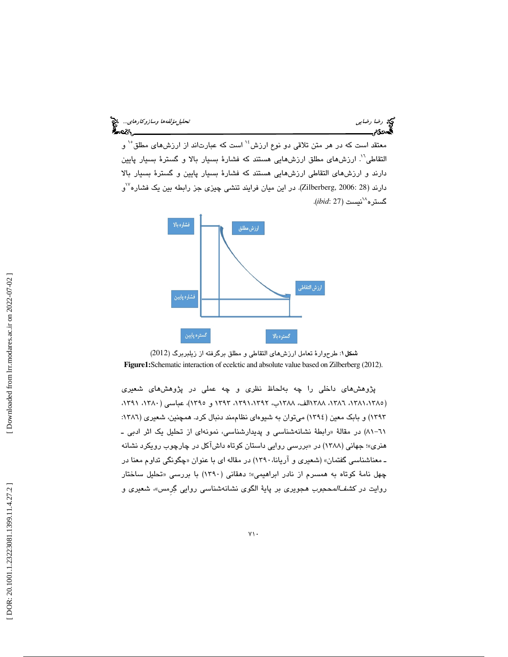معتقد است كه در هر متن تلاقى دو نوع ارزش<sup>؛</sup>` است كه عبارتاند از ارزش۵اى مطلق<sup>٠٠</sup> و التقاطی'`. ارزش،های مطلق ارزش،هایی هستند که فشارهٔ بسیار بالا و گسترهٔ بسیار پایین دارند و ارزشهای التقاطی ارزشهایی هستند كه فشارهٔ بسیار پایین و گسترهٔ بسیار بالا  $^{\vee}$ دارند (28 :2006). در این میان فرایند تنشی چیزی جز رابطه بین یک فشاره $^{\vee}$ و نيست (27 :*ibid*( . <sup>18</sup> گستره





پژوهشهاي داخلي را چه به لحاظ نظري و چه عملي در پژوهشهاي شعيري (١٣٨١،١٣٨٢، ١٣٨٦، ١٣٨٨لك، ١٣٨٨ب، ١٣٩٢،١٣٩٢، ١٣٩٢ و ١٣٩٥)، عباسي (١٣٨٠، ١٣٩١، ١٣٩٢) و بابک معين (١٣٩٤) ميتوان به شيوهاي نظاممند دنبال كرد. همچنين، شعيري (١٣٨٦: (٨١-٨١) در مقالة «رابطة نشانهشناسي و پديدارشناسي، نمونهاي از تحليل يک اثر ادبي ـ هنری»؛ جهانی (۱۳۸۸) در «بررسی روایی داستان کوتاه داشاکل در چارچوب رویکرد نشانه ـ معناشناسي گفتمان» (شعیری و اریانا، ۱۳۹۰) در مقاله ای با عنوان «چگونگی تداوم معنا در چهل نامهٔ کوتاه به همسرم از نادر ابراهیمی»؛ دهقانی (۱۳۹۰) با بررسی «تحلیل ساختار روايت در ك*شفالمحجوب* هجويري بر پايهٔ الگوي نشانهشناسي روايي گِرمس»، شعيري و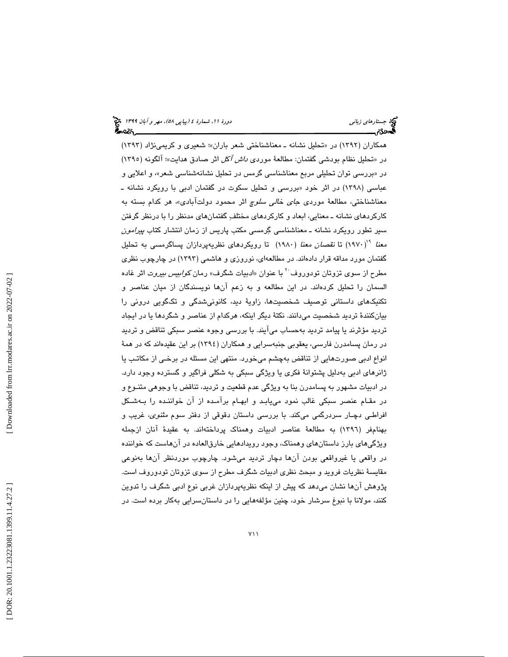همکاران (۱۳۹۲) در «تحلیل نشانه ــ معناشناختی شعر باران»؛ شعیری و کریمینژاد (۱۳۹۳) در «تحلیل نظام بودشی گفتمان: مطالعهٔ موردی *داش آکل* اثر صادق هدایت»؛ آلگونه (۱۳۹۰) در «بررسي توان تحليلي مربع معناشناسي گرمس در تحليل نشانهشناسي شعر»، و اعلايي و عباسی (۱۳۹۸) در اثر خود «بررسی و تحلیل سکوت در گفتمان ادبی با رویکرد نشانه ـ معناشناختی، مطالعهٔ موردی *جای خالی سلوچ* اثر محمود دولتابادی»، هر کدام بسته به كاركردهاي نشانه ـ معنايي، ابعاد و كاركردهاي مختلف گفتمانهاي مدنظر را با درنظر گرفتن سير تطور رويكرد نشانه ـ معناشناسي گرمسي مكتب پاريس از زمان انتشار كتاب پيرامون *معنا* ۱۹۷۰) تا ن*قصان معنا* (۱۹۸۰) تا رویکردهای نظریهپردازان پساگرمسی به تحلیل گفتمان مورد مداقه قرار دادهاند. در مطالعهاي، نوروزي و هاشمي (1393) در چارچوب نظري مطرح از سوی تزوتان تودوروف <sup>۲</sup> با عنوان «ادبيات شگرف» رمان ك*وابيس بيروت* اثر غاده السمان را تحليل كردهاند. در اين مطالعه و به زعم آنها نويسندگان از ميان عناصر و تكنيكهاي داستاني توصيف شخصيتها، زاويهٔ ديد، كانونيشدگي و تكگويي دروني را بيانكنند ة ترديد شخصيت ميدانند . نكت ة ديگر اينكه، هركدام از عناصر و شگردها يا در ايجاد ترديد مؤثرند يا پيامد ترديد بهحساب مىايند. با بررسى وجوه عنصر سبكى تناقض و ترديد در رمان پسامدرن فارسي، يعقوبي جنبهسرايي و همكاران (1394) بر اين عقيدهاند كه در هم ة انواع ادبي صورتهايي از تناقض بهچشم ميخورد. منتهي اين مسئله در برخـي از مكاتـب يا ژانرهای ادبی بهدلیل پشتوانهٔ فکری یا ویژگی سبکی به شکلی فراگیر و گسترده وجود دارد. در ادبيات مشهور به پسامدرن بنا به ويژگي عدم قطعيت و ترديد، تناقض با وجوهي متنـوع و در مقـام عنصر سبكي غالب نمود مييابـد و ابهـام برآمـده از آن خواننـده را بـهشـكل افراطـي دچـار سردرگمي ميكند. با بررسي داستان دقوقي از دفتر سوم *مثنوي،* غريب و بهنامفر (1396) به مطالعة عناصر ادبيات وهمناك پرداختهاند. به عقيدة آنان ازجمله ويژگيهاي بارز داستانهاي وهمناك، وجود رويدادهايي خارقالعاده در آنهاست كه خواننده در واقعي يا غيرواقعي بودن آنها دچار ترديد ميشود. چارچوب موردنظر آنها بهنوعي مقايسة نظريات فرويد و مبحث نظري ادبيات شگرف مطرح از سوي تزوتان تودوروف است. پژوهش آنها نشان ميدهد كه پيش از اينكه نظريهپردازان غربي نوع ادبي شگرف را تدوين كنند، مولانا با نبوغ سرشار خود، چنین مؤلفههایی را در داستانسرایی بهکار برده است. در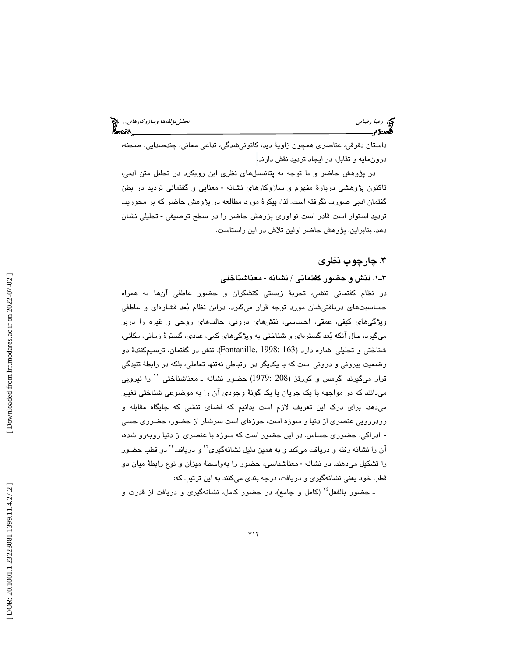داستان دقوقي، عناصري همچون زاو ية ديد، كانونيشدگي، تداعي معاني، چندصدايي، صحنه، درونمايه و تقابل، در ايجاد ترديد نقش دارند .

در پژوهش حاضر و با توجه به پتانسيلهاي نظري اين رويكرد در تحليل متن ادبي، تاكنون پژوهشى دربارهٔ مفهوم و سازوكارهاى نشانه - معنايى و گفتمانى ترديد در بطن گفتمان ادبي صورت نگرفته است. لذا، پيكرة مورد مطالعه در پژوهش حاضر كه بر محوريت ترديد استوار است قادر است نوآوری پژوهش حاضر را در سطح توصيفی - تحليلی نشان دهد. بنابراين، پژوهش حاضر اولين تلاش در اين راستاست.

## 3. چارچوب نظري

۳ـ ۱. تنش و حضور گفتمانی / نشانه - معناشناختی

در نظام گفتماني تنشي، تجربة زيستي كنشگران و حضور عاطفي آنها به همراه حساسيتهاي دريافتيشان مورد توجه قرار ميگيرد. دراين نظام بُعد فشارهاي و عاطفي ویژگی۵ای کیفی، عمقی، احساسی، نقش۵ای درونی، حالت۵ای روحی و غیره را دربر میگیرد، حال انكه بُعد گسترهای و شناختی به ویژگیهای كمی، عددی، گسترهٔ زمانی، مكانی، شناختی و تحلیلی اشاره دارد (163 :Fontanille, 1998). تنش در گفتمان، ترسیمکنندهٔ دو وضعيت بيروني و دروني است كه با يكديگر در ارتباطي نهتنها تعاملي، بلكه در رابطهٔ تنيدگي قرار میگیرند. گِرمس و کورتز (208 :1979) حضور نشانه ـ معناشناختی <sup>۲۰</sup> را نیرویی ميدانند كه در مواجهه با يك جريان يا يك گونة وجودي آن را به موضوعي شناختي تغيير ميدهد. براي درك اين تعريف لازم است بدانيم كه فضاي تنشي كه جايگاه مقابله و رودررويي عنصري از دنيا و سوژه است، حوزهاي است سرشار از حضور، حضوري حسي ادراكي، حضوري حساس. در اين حضور است كه سوژه با عنصري از دنيا روبهرو شده، ـ آن را نشانه رفته و دریافت میکند و به همین دلیل نشانهگیری<sup>۲۲</sup> و دریافت<sup>۲۲</sup> دو قطب حضور را تشكيل مىدهند. در نشانه - معناشناسى، حضور را بهواسطهٔ ميزان و نوع رابطهٔ ميان دو قطب خود يعني نشانهگيري و دريافت، درجه بندي ميكنند به اين ترتيب كه:

ـ حضور بالفعل<sup>،۲</sup> (كامل و جامع)، در حضور كامل، نشانهگيري و دريافت از قدرت و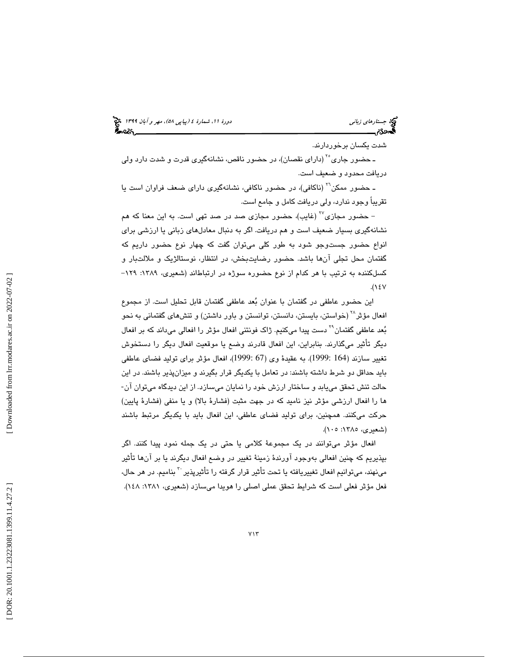# (پياپي 58)، مهر و آبان 1399 جستارهاي زباني دورة ،11 شمارة 4

شدت يكسان برخوردارند.

ـ حضور جاری<sup>۲۰</sup> (دارای نقصان)، در حضور ناقص، نشانهگیری قدرت و شدت دارد ول*ی* دريافت محدود و ضعيف است.

ـ حضور ممكن<sup>٢٦</sup> (ناكافي)، در حضور ناكافي، نشانهگيري داراي ضعف فراوان است يا تقريباً وجود ندارد، ولي دريافت كامل و جامع است.

– حضور مجازی<sup>۲۷</sup> (غایب)، حضور مجازی صد در صد تهی است. به این معنا که هم نشانهگيري بسيار ضعيف است و هم دريافت. اگر به دنبال معادلهاي زباني يا ارزشي براي انواع حضور جستوجو شود به طور كلي ميتوان گفت كه چهار نوع حضور داريم كه گفتمان محل تجلی آنها باشد. حضور رضایتبخش، در انتظار، نوستالژیک و ملالتبار و<br>کسلکننده به ترتیب با هر کدام از نوع حضوره سوژه در ارتباطاند (شعیری، ۱۳۸۹: ۱۲۹- $.(\lambda \epsilon V)$ 

اين حضور عاطفي در گفتمان با عنوان بعد عاطفي گفتمان قابل تحليل است. از مجموع افعال مؤثر<sup>۲۸</sup> (خواستن، بايستن، دانستن، توانستن و باور داشتن) و تنشهای گفتمانی به نحو بُعد عاطفي گفتمان<sup>٢٩</sup> دست پيدا ميكنيم. ژاك فونتني افعال مؤثر را افعالي ميداند كه بر افعال ديگر تأثير ميگذارند. بنابراين، اين افعال قادرند وضع يا موقعيت افعال ديگر را دستخوش تغيير سازند (164 1999:). به عقيدة وي (67 1999:)، افعال مؤثر براي توليد فضاي عاطفي بايد حداقل دو شرط داشته باشند: در تعامل با يكديگر قرار بگيرند و ميزانپذير باشند. در اين<br>حالت تنش تحقق ميµبد و ساختار ارزش خود را نمايان ميسازد. از اين ديدگاه ميتوان آن-ها را افعال ارزشي مؤثر نيز ناميد كه در جهت مثبت (فشارة بالا) و يا منفي (فشارة پايين) حركت ميكنند. همچنين، براي توليد فضاي عاطفي، اين افعال بايد با يكديگر مرتبط باشند (شعيري، ١٣٨٥: ١٠٥).

افعال مؤثر ميتوانند در يك مجموعة كلامي يا حتي در يك جمله نمود پيدا كنند. اگر بپذيريم كه چنين افعالي بهوجود آورندة زمينة تغيير در وضع افعال ديگرند يا بر آنها تأثير مینهند، میتوانیم افعال تغییریافته یا تحت تأثیر قرار گرفته را تأثیرپذیر <sup>۳۰</sup> بنامیم. در هر حال، فعل مؤثر فعلي است كه شرايط تحقق عملي اصلي را هويدا ميسازد (شعيري، :1381 148).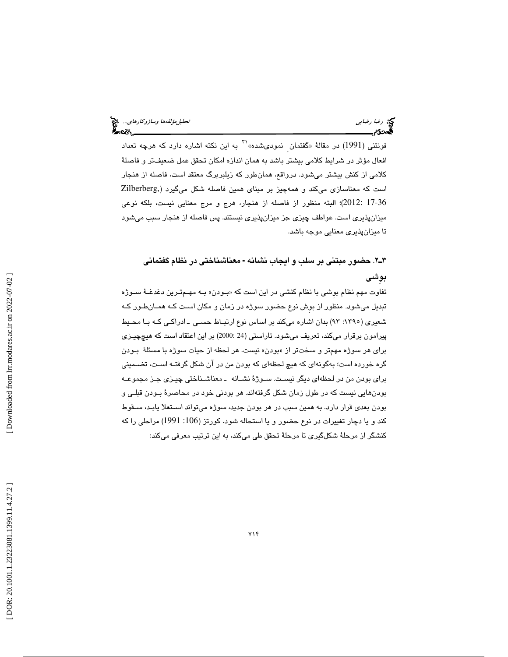$^{\prime\prime}$ ه نونتنی (1991) در مقالهٔ «گفتمان  $^{\prime}$ نمودیشده» $^{\prime\prime\prime}$  به این نكته اشاره دارد كه هرچه تعداد افعال مؤثر در شرايط كلامي بيشتر باشد به همان اندازه امكان تحقق عمل ضعيفتر و فاصلة كلامي از كنش بيشتر ميشود. درواقع، همانطور كه زيلبربرگ معتقد است، فاصله از هنجار است كه معناسازي ميكند و همهچيز بر مبناي همين فاصله شكل ميگيرد (,Zilberberg 17-36 2012:)؛ البته منظور از فاصله از هنجار، هرج و مرج معنايي نيست، بلكه نوعي ميزانپذيري است. عواطف چيزي جز ميزانپذيري نيستند. پس فاصله از هنجار سبب ميشود تا ميزانپذيري معنايي موجه باشد.

# ۳ـ۲. حضور مبتنی بر سلب و ايجاب نشانه - معناشناختی در نظام گفتمانی بوِشي

تفاوت مهم نظام بوشی با نظام كنشی در این است كه «بـودن» بــه مهــمتـرین دغدغــهٔ ســوژه تبديل ميشود. منظور از بوِش نوع حضور سوژه در زمان و مكان اسـت كـه همـان طـور كـه شعيري (:1395 93) بدان اشاره ميكند بر اساس نوع ارتبـاط حسـي ـ ادراكـي كـه بـا محـيط پيرامون برقرار ميكند، تعريف ميشود. تاراستي (24 2000:) بر اين اعتقاد است كه هيچچيـزي برا*ی* هر سوژه مهمتر و سختتر از «بودن» نيست. هر لحظه از حيات سوژه با مسئلهٔ بـودن گره خورده است؛ بهگونهای كه هیچ لحظهای كه بودن من در آن شكل گرفتـه اسـت، تضــمینی براي بودن من در لحظهاي ديگر نيسـت . سـوژ ة نشـانه ـ معناشـناختي چيـزي جـز مجمو عـه بودنهايي نيست كه در طول زمان شكل گرفتهاند. هر بودني خود در محاصرهٔ بـودن قبلـي و بودن بعدي قرار دارد. به همين سبب در هر بودن جديد، سوژه ميتواند اسـتعلا يابـد ، سـقوط كند و يا دچار تغييرات در نوع حضور و يا استحاله شود. كورتز (106: 1991) مراحلي را كه كنشگر از مرحلة شكلگيري تا مرحلة تحقق طي ميكند، به اين ترتيب معرفي ميكند: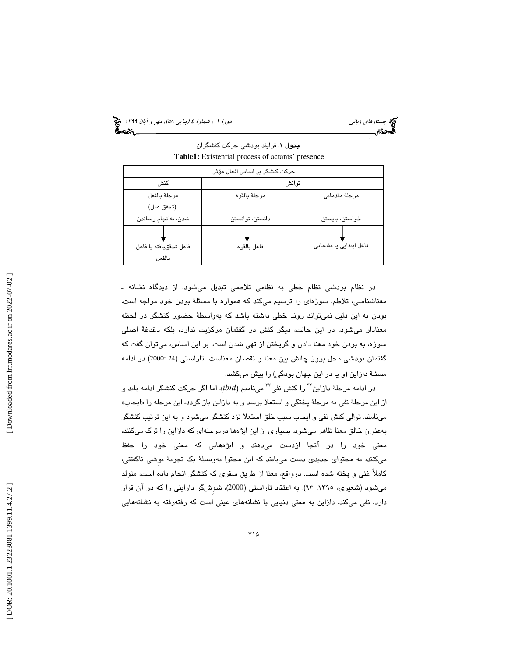(پياپي 58)، مهر و آبان 1399 جستارهاي زباني دورة ،11 شمارة 4

جدول : 1 فرايند بودشي حركت كنشگران **Table1:** Existential process of actants' presence

| حرکت کنشگر بر اساس افعال مؤثر    |                 |                         |
|----------------------------------|-----------------|-------------------------|
| كنش                              | توانش           |                         |
| مرحلة بالفعل                     | مرحلة بالقوه    | مرحلهٔ مقدمات <i>ی</i>  |
| (تحقق عمل)                       |                 |                         |
| شدن، بەانجام رساندن              | دانستن، توانستن | خواستن، بايستن          |
| فاعل تحققيافته يا فاعل<br>بالفعل | فاعل بالقوه     | فاعل ابتدایی یا مقدماتی |

در نظام بودشي نظام خطي به نظامي تلاطمي تبديل ميشود. از ديدگاه نشانه ـ معناشناسي، تلاطم، سوژهاي را ترسيم ميكند كه همواره با مسئلة بودن خود مواجه است. بودن به اين دليل نميتواند روند خطي داشته باشد كه بهواسطة حضور كنشگر در لحظه معنادار ميشود. در اين حالت، ديگر كنش در گفتمان مركزيت ندارد، بلكه دغدغة اصلي سوژه، به بودن خود معنا دادن و گريختن از تهي شدن است. بر اين اساس، ميتوان گفت كه گفتمان بودشی محل بروز چالش بین معنا و نقصان معناست. تاراستی (24 :2000) در ادامه مسئلة دازاين (و يا در اين جهان بودگي) را پيش ميكشد.

در ادامه مرحلهٔ دازاين<sup>۲۲</sup> را كنش نفي<sup>۳۲</sup> ميiاميم (ibid). اما اگر حركت كنشگر ادامه يابد و از اين مرحلهٔ نفي به مرحلهٔ پختگي و استعلا برسد و به دازاين باز گردد، اين مرحله را «ايجاب» مينامند. توالي كنش نفي و ايجاب سبب خلق استعلا نزد كنشگر ميشود و به اين ترتيب كنشگر بهعنوان خالق معنا ظاهر ميشود. بسياري از اين ابژهها درمرحلهاي كه دازاين را ترك ميكنند، معني خود را در آنجا ازدست ميدهند و ابژههايي كه معني خود را حفظ ميكنند، به محتواي جديدي دست مييابند كه اين محتوا بهوسيلة يك تجربة بوِشي ناگفتني، كاملاً غني و پخته شده است. درواقع، معنا از طريق سفري كه كنشگر انجام داده است، متولد ميشود (شعيري، :1395 93). به اعتقاد تاراستي ( 2000 ،) شوِشگر اداز يني را كه در آن قرار دارد، نفي ميكند. دازاين به معنى دنيايي با نشانههاي عيني است كه رفتهرفته به نشانههايي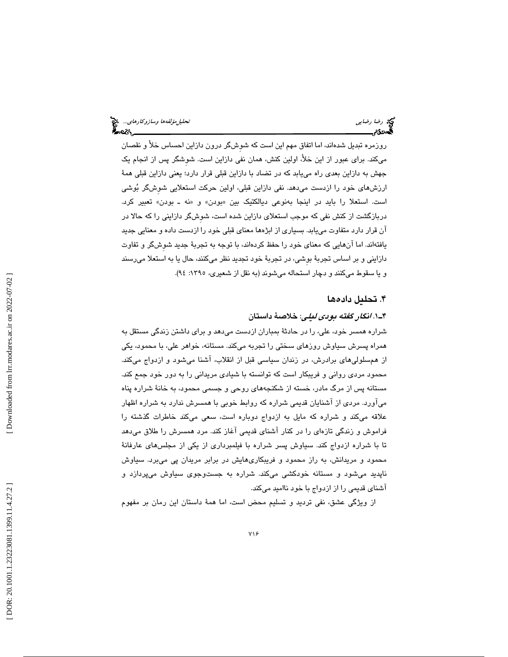روزمره تبدیل شدهاند، اما اتفاق مهم این است که شوشگر درون دازاین احساس خلا و نقصان میكند. برای عبور از این خلا، اولین كنش، همان نفی دازاین است. شوشگر پس از انجام یک جهش به دازاین بعدی راه مییابد که در تضاد با دازاین قبلی قرار دارد؛ یعنی دازاین قبلی همهٔ ارزشهای خود را ازدست میدهد. نفی دازاین قبلی، اولین حرکت استعلایی شوشگر بُوشی است. استعلا را بايد در اينجا بەنوعى ديالكتيك بين «بودن» و «نه ـ بودن» تعبير كرد. دربازگشت از كنش نفی كه موجب استعلای دازاین شده است، شوشگر دازاینی را كه حالا در آن قرار دارد متفاوت مييابد. بسياري از ابژهها معناي قبلي خود را ازدست داده و معنايي جديد يافتهاند. اما آنهايي كه معناي خود را حفظ كردهاند، با توجه به تجر بة جديد شوِش گر و تفاوت دازايني و بر اساس تجربهٔ بوشي، در تجربهٔ خود تجدید نظر ميكنند، حال یا به استعلا ميرسند و يا سقوط ميكنند و دچار استحاله مي شوند (به نقل از شعيري، ١٣٩٥: ٩٤).

### 4. تحليل دادهها

. 1ـ4 انگار گفته بودي ليلي: خلاصة داستان

شراره همسر خود، علي، را در حادثة بمباران ازدست ميدهد و براي داشتن زندگي مستقل به همراه پسرش سياوش روزهاي سختي را تجربه ميكند. مستانه، خواهر علي، با محمود، يكي از همسلوليهاي برادرش، در زندان سياسي قبل از انقلاب، آشنا ميشود و ازدواج ميكند. محمود مردي رواني و فريبكار است كه توانسته با شيادي مريداني را به دور خود جمع كند. مستانه پس از مرگ مادر، خسته از شكنجههاي روحي و جسمي محمود، به خانة شراره پناه ميآورد. مردي از آشنايان قديمي شراره كه روابط خوبي با همسرش ندارد به شراره اظهار علاقه ميكند و شراره كه مايل به ازدواج دوباره است، سعي ميكند خاطرات گذشته را فراموش و زندگي تازهاي را در كنار آشناي قديمي آغاز كند. مرد همسرش را طلاق ميدهد تا با شراره ازدواج كند. سياوش پسر شراره با فيلمبرداري از يكي از مجلسهاي عارفانة محمود و مريدانش، به راز محمود و فريبكاريهايش در برابر مريدان پي ميبرد. سياوش ناپديد ميشود و مستانه خودكشي ميكند. شراره به جستوجوي سياوش ميپردازد و آشناي قديمي را از ازدواج با خود نااميد ميكند.

از ويژگي عشق، نفي ترديد و تسليم محض است، اما همهٔ داستان اين رمان بر مفهوم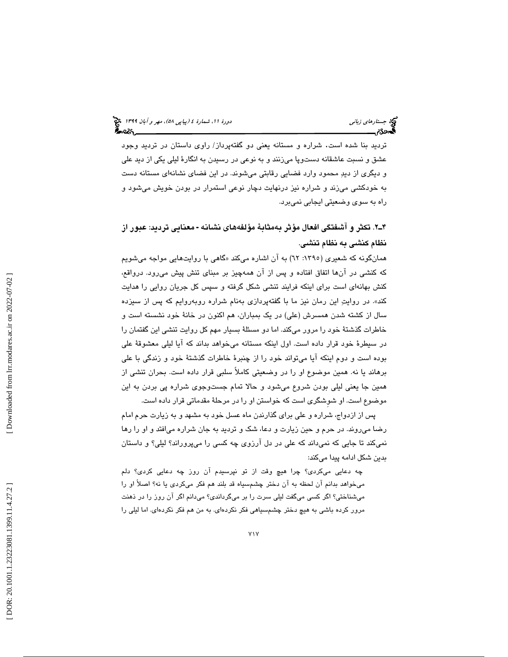ترديد بنا شده است. شراره و مستانه يعني دو گفتهپرداز/ راوي داستان در ترديد وجود عشق و نسبت عاشقانه دستوپا ميزنند و به نوعي در رسيدن به انگارة ليلي يكي از ديد علي و ديگري از ديد محمود وارد فضايي رقابتي ميشوند. در اين فضاي نشانهاي مستانه دست به خودکشی میزند و شراره نیز درنهایت دچار نوعی استمرار در بودن خویش میشود و راه به سوي وضعيتي ايجابي نميبرد.

۴ـ۲. تكثر و آشفتگى افعال مؤثر بهمثابهٔ مؤلفههاى نشانه - معنايى ترديد: عبور از نظام كنشي به نظام تنشي.

همانگونه كه شعيری (١٣٩٥: ٦٢) به ان اشاره میكند «گاهی با روايتهايی مواجه میشويم كه كنشي در آنها اتفاق افتاده و پس از آن همهچيز بر مبناي تنش پيش ميرود. درواقع ، كنش بهانهای است برای اینکه فرایند تنشی شکل گرفته و سپس کل جریان روایی را هدایت كند». در روايت اين رمان نيز ما با گفتهپردازي بهنام شراره روبهروايم كه پس از سيزده سال از كشته شدن همسرش (علي) در يك بمباران، هم اكنون در خانة خود نشسته است و خاطرات گذشتة خود را مرور ميكند. اما دو مسئلة بسيار مهم كل روايت تنشي اين گفتمان را در سيطرة خود قرار داده است. اول اينكه مستانه ميخواهد بداند كه آيا ليلي معشوقة علي بوده است و دوم اينكه آيا ميتواند خود را از چنبرة خاطرات گذشتة خود و زندگي با علي برهاند يا نه. همين موضوع او را در وضعيتي كاملاً سلبي قرار داده است. بحران تنشي از همين جا يعني ليلي بودن شروع ميشود و حالا تمام جستوجوي شراره پي بردن به اين موضوع است. او شوِشگري است كه خواستن او را در مرحلة مقدماتي قرار داده است.

پس از ازدواج، شراره و علي براي گذارندن ماه عسل خود به مشهد و به زيارت حرم امام رضا ميروند. در حرم و حين زيارت و دعا، شك و ترديد به جان شراره ميافتد و او را رها نميكند تا جايي كه نميداند كه علي در دل آرزوي چه كسي را ميپروراند؟ ليلي؟ و داستان بدين شكل ادامه پيدا ميكند:

چه دعايي ميكردي؟ چرا هيچ وقت از تو نپرسيدم آن روز چه دعايي كردي؟ دلم ميخواهد بدانم آن لحظه به آن دختر چشمسياه قد بلند هم فكر ميكردي يا نه؟ اصلاً او را ميشناختي؟ اگر كسي ميگفت ليلي سرت را بر ميگرداندي؟ ميدانم اگر آن روز را در ذهنت مرور كرده باشي به هيچ دختر چشمسياهي فكر نكردهاي. به من هم فكر نكردهاي. اما ليلي را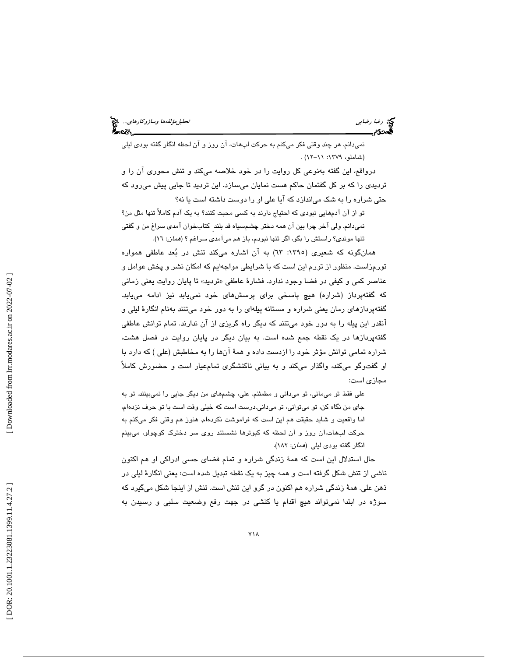نميدانم. هر چند وقتي فكر ميكنم به حركت لبهات، آن روز و آن لحظه انگار گفته بودي ليلي (شاملو، :1379 11- 12 ) .

درواقع، اين گفته بهنوعي كل روايت را در خود خلاصه ميكند و تنش محوري آن را و ترديدي را كه بر كل گفتمان حاكم هست نمايان ميسازد. اين ترديد تا جايي پيش ميرود كه حتي شراره را به شك مياندازد كه آيا علي او را دوست داشته است يا نه؟

تو از آن آدمهايي نبودي كه احتياج دارند به كسي محبت كنند؟ به يك آدم كاملاً تنها مثل من؟ نميدانم. ولي آخر چرا بين آن همه دختر چشمسياه قد بلند ِ كتابخوان آمدي سراغ من و گفتي تنها موندي؟ راستش را بگو، اگر تنها نبودم، باز هم ميآمدي سراغم ؟ (همان: 16 ).

همانگونه كه شعيري (:1395 63) به آن اشاره ميكند تنش در بعد عاطفي همواره تورمزاست. منظور از تورم اين است كه با شرايطي مواجهايم كه امكان نشر و پخش عوامل و عناصر كمي و كيفي در فضا وجود ندارد. فشارهٔ عاطفي «ترديد» تا پايان روايت يعني زماني كه گفتهپرداز (شراره) هيچ پاسخي براي پرسشهاي خود نمييابد نيز ادامه مييابد. گفتهپردازهاي رمان يعني شراره و مستانه پيلهاي را به دور خود ميتنند بهنام انگارهٔ ليلي و آنقدر اين پيله را به دور خود ميتنند كه ديگر راه گريزي از آن ندارند. تمام توانش عاطفي گفتهپردازها در يك نقطه جمع شده است. به بيان ديگر در پايان روايت در فصل هشت، شراره تمامي توانش مؤثر خود را ازدست داده و همة آنها را به مخاطبش (علي ) كه دارد با او گفتوگو ميكند، واگذار ميكند و به بياني ناكنشگري تمامعيار است و حضورش كاملاً مجازي است:

علي فقط تو ميماني، تو ميداني و مطمئنم. علي، چشمهاي من ديگر جايي را نميبينند. تو به جاي من نگاه كن، تو ميتواني، تو ميداني.درست است كه خيلي وقت است با تو حرف نزدهام، اما واقعيت و شايد حقيقت هم اين است كه فراموشت نكردهام. هنوز هم وقتي فكر ميكنم به حركت لبهات،آن روز و آن لحظه كه كبوترها نشستند روي سر دخترك كوچولو، ميبينم انگار گفته بودي ليلي (همان: 182 ).

حال استدلال اين است كه همة زندگي شراره و تمام فضاي حسي ادراكي او هم اكنون ناشي از تنش شكل گرفته است و همه چيز به يك نقطه تبديل شده است؛ يعني انگارة ليلي در ذهن علي. همة زندگي شراره هم اكنون در گرو اين تنش است. تنش از اينجا شكل ميگيرد كه سوژه در ابتدا نميتواند هيچ اقدام يا كنشي در جهت رفع وضعيت سلبي و رسيدن به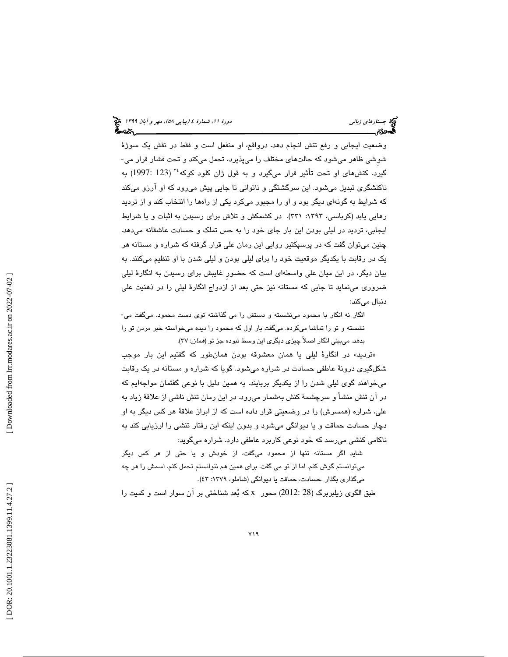وضعیت ایجابی و رفع تنش انجام دهد. درواقع، او منفعل است و فقط در نقش یک سوژهٔ<br>شوشی ظاهر میشود که حالتهای مختلف را میپذیرد، تحمل میکند و تحت فشار قرار می-گيرد. كنشهاي او تحت تأثير قرار ميگيرد و به قول ژان كلود كوكه<sup>،۲</sup> (123 :1997) به ناكنشگري تبديل ميشود. اين سرگشتگي و ناتواني تا جايي پيش ميرود كه او آرزو ميكند كه شرايط به گونهاي ديگر بود و او را مجبور ميكرد يكي از راهها را انتخاب كند و از ترديد رهايي يابد (كرباسي، ١٣٩٣: ٣٣١). در كشمكش و تلاش براي رسيدن به اثبات و يا شرايط ايجابي، ترديد در ليلي بودن اين بار جاي خود را به حس تملك و حسادت عاشقانه ميدهد. چنين ميتوان گفت كه در پرسپكتيو روايي اين رمان علي قرار گرفته كه شراره و مستانه هر يك در رقابت با يكديگر موقعيت خود را براي ليلي بودن و ليلي شدن با او تنظيم ميكنند. به بيان ديگر، در اين ميان علي واسطهاي است كه حضورِ غايبش براي رسيدن به انگارة ليلي ضروري مينمايد تا جايي كه مستانه نيز حتي بعد از ازدواج انگارة ليلي را در ذهنيت علي دنبال ميكند:

انگار نه انگار با محمود مينشسته و دستش را مي گذاشته توي دست محمود. ميگفت مي- نشسته و تو را تماشا ميكرده. ميگفت بار اول كه محمود را ديده ميخواسته خبر مردن تو را بدهد. ميبيني انگار اصلاً چيزي ديگري اين وسط نبوده جز تو (همان: )37.

ترديد» در انگارة ليلي يا همان معشوقه بودن همانطور كه گفتيم اين بار موجب » شكلگيري درونة عاطفي حسادت در شراره ميشود. گويا كه شراره و مستانه در يك رقابت ميخواهند گوي ليلي شدن را از يكديگر بربايند. به همين دليل با نوعي گفتمان مواجهايم كه در آن تنش منشأ و سرچشمة كنش بهشمار ميرود. در اين رمان تنش ناشي از علاقة زياد به علي، شراره (همسرش) را در وضعيتي قرار داده است كه از ابراز علاقة هر كس ديگر به او دچار حسادت حماقت و يا ديوانگي ميشود و بدون اينكه اين رفتار تنشي را ارزيابي كند به ناكامي كنشي ميرسد كه خود نوعي كاربرد عاطفي دارد. شراره ميگويد:

شايد اگر مستانه تنها از محمود ميگفت، از خودش و يا حتي از هر كس ديگر ميتوانستم گوش كنم. اما از تو مي گفت. براي همين هم نتوانستم تحمل كنم. اسمش را هر چه ميگذاري بگذار .حسادت، حماقت يا ديوانگي (شاملو، :1379 )43 .

طبق الگوی زیلبربرگ (28 :2012) محور x كه بُعد شناختی بر آن سوار است و كمیت را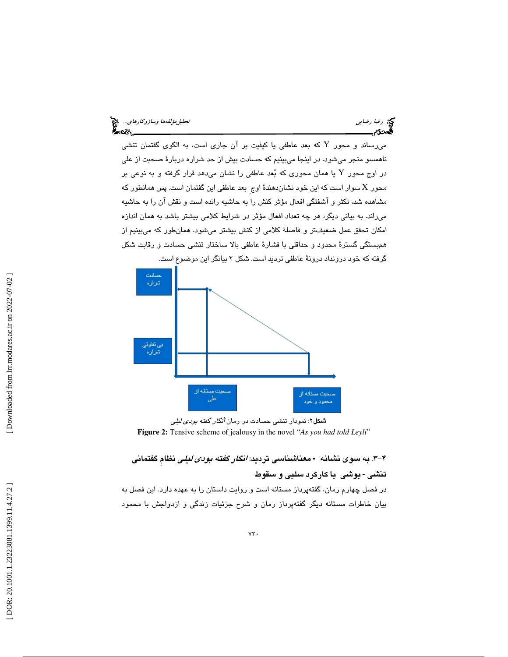میرساند و محور Y كه بعد عاطفی یا كیفیت بر آن جاری است، به الگوی گفتمان تنشی ناهمسو منجر ميشود. در اينجا ميبينيم كه حسادت بيش از حد شراره دربارة صحبت از علي در اوج محور  $\rm Y$  یا همان محوری که بُعد عاطفی را نشان میدهد قرار گرفته و به نوعی بر محور  ${\rm X}$  سوار است كه اين خود نشاندهندهٔ اوج بعد عاطفی اين گفتمان است. پس همانطور كه مشاهده شد، تكثر و آشفتگي افعال مؤثر كنش را به حاشيه رانده است و نقش آن را به حاشيه ميراند. به بياني ديگر، هر چه تعداد افعال مؤثر در شرايط كلامي بيشتر باشد به همان اندازه امكان تحقق عمل ضعيفتر و فاصلة كلامي از كنش بيشتر ميشود. همانطور كه ميبينيم از همبستگي گسترة محدود و حداقلي با فشارة عاطفي بالا ساختار تنشي حسادت و رقابت شكل



ش<mark>کل۲:</mark> نمودار تنشی حسادت در رمان *انگار گفته بودی لیلی* **Figure 2:** Tensive scheme of jealousy in the novel "*As you had told Leyli* "

# ۴-۳. به سوی نشانه - معناشناسی تردید: *انگار گفته بودی لیلی* نظام گفتمانی <mark>تن</mark>شى - بوشى با كاركرد سلبى و سقوط

در فصل چهارم رمان، گفتهپرداز مستانه است و روايت داستان را به عهده دارد. اين فصل به بيان خاطرات مستانه ديگر گفتهپرداز رمان و شرح جزئيات زندگي و ازدواجش با محمود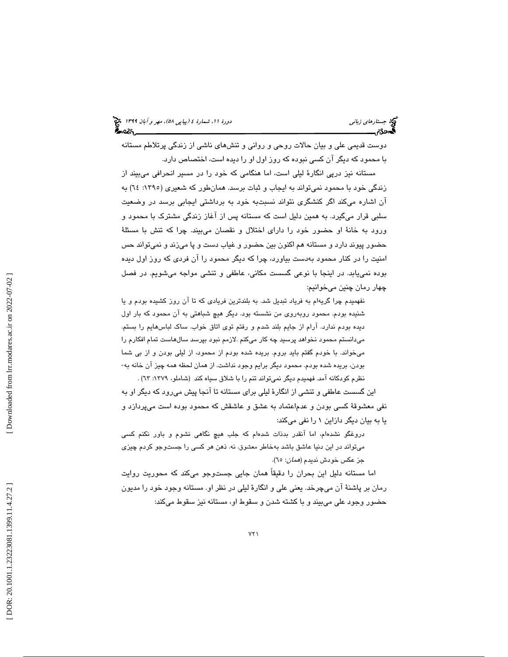دوست قديمي علي و بيان حالات روحي و رواني و تنشهاي ناشي از زندگي پرتلاطم مستانه با محمود كه ديگر آن كسي نبوده كه روز اول او را ديده است، اختصاص دارد.

مستانه نيز درپي انگارة ليلي است، اما هنگامي كه خود را در مسير انحرافي ميبيند از زندگي خود با محمود نميتواند به ايجاب و ثبات برسد. همانطور كه شعيري (:1395 64) به آن اشاره ميكند اگر كنشگري نتواند نسبتبه خود به برداشتي ايجابي برسد در وضعيت سلبي قرار ميگيرد. به همين دليل است كه مستانه پس از آغاز زندگي مشترك با محمود و ورود به خانة او حضور خود را داراي اختلال و نقصان ميبيند. چرا كه تنش با مسئلة حضور پيوند دارد و مستانه هم اكنون بين حضور و غياب دست و پا ميزند و نميتواند حس امنيت را در كنار محمود بهدست بياورد، چرا كه ديگر محمود را آن فردي كه روز اول ديده بوده نمييابد. در اينجا با نوعي گسست مكاني، عاطفي و تنشي مواجه ميشويم. در فصل چهار رمان چنين ميخوانيم:

نفهميدم چرا گريهام به فرياد تبديل شد. به بلندترين فريادي كه تا آن روز كشيده بودم و يا شنيده بودم. محمود روبهروي من نشسته بود. ديگر هيچ شباهتي به آن محمود كه بار اول ديده بودم ندارد. آرام از جايم بلند شدم و رفتم توي اتاق خواب. ساك لباسهايم را بستم. ميدانستم محمود نخواهد پرسيد چه كار ميكنم .لازمم نبود بپرسد سالهاست تمام افكارم را میخواند. با خودم گفتم بايد بروم. بريده شده بودم از محمود، از ليلی بودن و از بی شما<br>بودن، بريده شده بودم. محمود ديگر برايم وجود نداشت. از همان لحظه همه چيز آن خانه به-نظرم كودكانه آمد. فهميدم ديگر نميتواند تنم را با شلاق سياه كند (شاملو، :1379 63 ) .

اين گسست عاطفي و تنشي از انگارة ليلي براي مستانه تا آنجا پيش ميرود كه ديگر او به نفي معشوقة كسي بودن و عدماعتماد به عشق و عاشقش كه محمود بوده است ميپردازد و يا به بيان ديگر دازاين 1 را نفي ميكند:

دروغگو نشدهام، اما آنقدر بدذات شدهام كه جلب هيچ نگاهي نشوم و باور نكنم كسي ميتواند در اين دنيا عاشق باشد بهخاطر معشوق. نه. ذهن هر كسي را جستوجو كردم چيزي جز عكس خودش نديدم (*همان*: ٦٥).

اما مستانه دليل اين بحران را دقيقاً همان جايي جستوجو ميكند كه محوريت روايت رمان بر پاشنة آن ميچرخد. يعني علي و انگارة ليلي در نظر او. مستانه وجود خود را مديون حضور وجود علي ميبيند و با كشته شدن و سقوط او، مستانه نيز سقوط ميكند: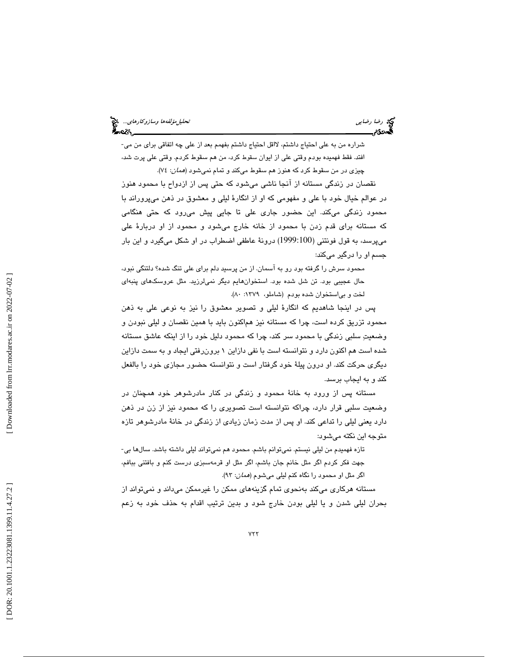شراره من به علي احتياج داشتم، لااقل احتياج داشتم بفهمم بعد از علي چه اتفاقي براي من مي- افتد. فقط فهميده بودم وقتي علي از ايوان سقوط كرد، من هم سقوط كردم. وقتي علي پرت شد، چيزي در من سقوط كرد كه هنوز هم سقوط ميكند و تمام نميشود (همان: 74 ).

نقصان در زندگي مستانه از آنجا ناشي ميشود كه حتي پس از ازدواح با محمود هنوز در عوالم خيال خود با علي و مفهومي كه او از انگارة ليلي و معشوق در ذهن ميپروراند با محمود زندگي ميكند. اين حضور جاري علي تا جايي پيش ميرود كه حتي هنگامي كه مستانه براي قدم زدن با محمود از خانه خارج ميشود و محمود از او دربارة علي ميپرسد، به قول فونتني (1999:100) درونة عاطفي اضطراب در او شكل ميگيرد و اين بار جسم او را درگير ميكند:

محمود سرش را گرفته بود رو به آسمان. از من پرسيد دلم براي علي تنگ شده؟ دلتنگي نبود، حال عجيبي بود. تن شل شده بود. استخوانهايم ديگر نميلرزيد. مثل عروسكهاي پنبهاي لخت و بياستخوان شده بودم (شاملو، :1379 80 ).

پس در اينجا شاهديم كه انگارة ليلي و تصوير معشوق را نيز به نوعي علي به ذهن محمود تزريق كرده است، چرا كه مستانه نيز هماكنون بايد با همين نقصان و ليلي نبودن و وضعيت سلبي زندگي با محمود سر كند، چرا كه محمود دليل خود را از اينكه عاشق مستانه شده است هم اكنون دارد و نتوانسته است با نفي دازاين 1 برونرفتي ايجاد و به سمت دازاين ديگري حركت كند. او درون پيلة خود گرفتار است و نتوانسته حضور مجازي خود را بالفعل كند و به ايجاب برسد.

مستانه پس از ورود به خانة محمود و زندگي در كنار مادرشوهر خود همچنان در وضعيت سلبي قرار دارد، چراكه نتوانسته است تصويري را كه محمود نيز از زن در ذهن دارد يعني ليلي را تداعي كند. او پس از مدت زمان زيادي از زندگي در خانة مادرشوهر تازه متوجه اين نكته ميشود:

تازه فهميدم من ليلي نيستم. نميتوانم باشم. محمود هم نميتواند ليلي داشته باشد. سالها بي- جهت فكر كردم اگر مثل خانم جان باشم، اگر مثل او قرمهسبزي درست كنم و بافتني ببافم، اگر مثل او محمود را نگاه كنم ليلي ميشوم (همان: 93 ).

مستانه هركاري ميكند بهنحوي تمام گزينههاي ممكن را غيرممكن ميداند و نميتواند از بحران ليلي شدن و يا ليلي بودن خارج شود و بدين ترتيب اقدام به حذف خود به زعم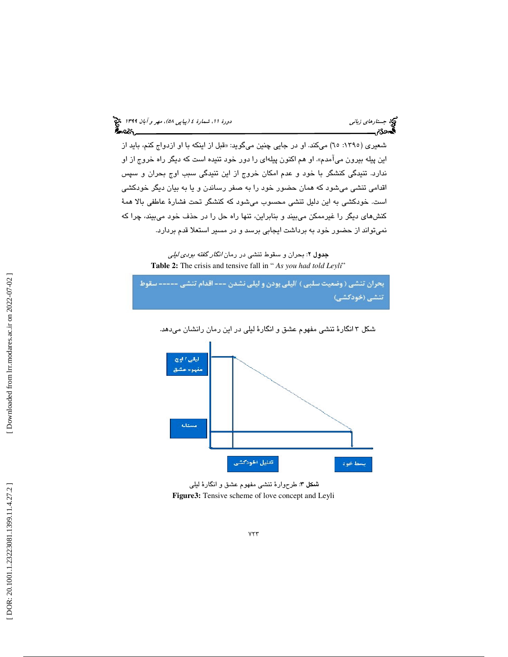شعیری (١٣٩٥: ٦٥) میکند. او در جایی چنین میگوید: «قبل از اینکه با او ازدواج کنم، باید از اين پيله بيرون ميآمدم». او هم اكنون پيلهاي را دور خود تنيده است كه ديگر راه خروج از او ندارد. تنيدگي كنشگر با خود و عدم امكان خروج از اين تنيدگي سبب اوج بحران و سپس اقدامي تنشي ميشود كه همان حضور خود را به صفر رساندن و يا به بيان ديگر خودكشي است. خودكشي به اين دليل تنشي محسوب ميشود كه كنشگر تحت فشارة عاطفي بالا همة كنشهاي ديگر را غيرممكن ميبيند و بنابراين، تنها راه حل را در حذف خود ميبيند، چرا كه نميتواند از حضور خود به برداشت ايجابي برسد و در مسير استعلا قدم بردارد.

> جدول 2: بحران و سقوط تنشي در رمان انگار گفته بودي ليلي **Table 2:** The crisis and tensive fall in "*As you had told Leyli*"





شكل 3 انگارة تنشي مفهوم عشق و انگارة ليلي در اين رمان رانشان ميدهد.

: طرحوارة تنشي مفهوم عشق و انگارة ليلي شكل 3 **Figure3:** Tensive scheme of love concept and Leyli

 $YYY$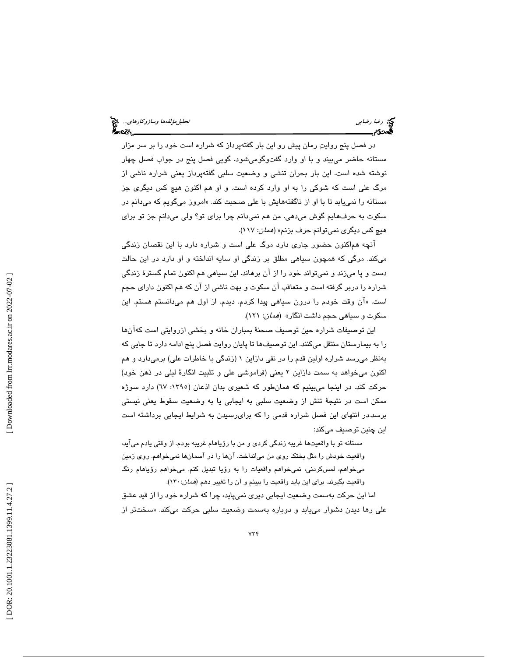در فصل پنج روايت رمان پيش رو اين بار گفتهپرداز كه شراره است خود را بر سر مزار مستانه حاضر ميبيند و با او وارد گفتوگوميشود. گويي فصل پنج در جواب فصل چهار نوشته شده است. اين بار بحران تنشي و وضعيت سلبي گفتهپرداز يعني شراره ناشي از مرگ علي است كه شوكي را به او وارد كرده است. و او هم اكنون هيچ كس ديگري جز مستانه را نمییابد تا با او از ناگفتههایش با علی صحبت كند. «امروز میگویم كه میدانم در سكوت به حرفهايم گوش ميدهي. من هم نميدانم چرا براي تو؟ ولي ميدانم جز تو براي هيچ كس ديگري نميتوانم حرف بزنم» (همان: 117).

آنچه هماكنون حضور جاري دارد مرگ علي است و شراره دارد با اين نقصان زندگي ميكند. مرگي كه همچون سياهي مطلق بر زندگي او سايه انداخته و او دارد در اين حالت دست و پا ميزند و نميتواند خود را از آن برهاند. اين سياهي هم اكنون تمام گسترة زندگي شراره را دربر گرفته است و متعاقب آن سكوت و بهت ناشي از آن كه هم اكنون داراي حجم است. «ان وقت خودم را درون سياهي پيدا كردم. ديدم. از اول هم ميدانستم هستم. اين سكوت و سياهي حجم داشت انگار» (همان: 121 ).

اين توصيفات شراره حين توصيف صحنة بمباران خانه و بخشي ازروايتي است كهآنها را به بيمارستان منتقل ميكنند. اين توصيفها تا پايان روايت فصل پنج ادامه دارد تا جايي كه بهنظر ميرسد شراره اولين قدم را در نفي دازاين 1 (زندگي با خاطرات علي) برميدارد و هم اكنون ميخواهد به سمت دازاين 2 يعني (فراموشي علي و تثبيت انگارة ليلي در ذهن خود) حركت كند. در اينجا ميبينيم كه همانطور كه شعيري بدان اذعان (:1395 67) دارد سوژه ممكن است در نتيجهٔ تنش از وضعيت سلبي به ايجابي يا به وضعيت سقوط يعني نيستي برسد.در انتهاي اين فصل شراره قدمي را كه برايرسيدن به شرايط ايجابي برداشته است اين چنين توصيف ميكند:

مستانه تو با واقعيتها غريبه زندگي كردي و من با رؤياهام غريبه بودم. از وقتي يادم ميآيد، واقعيت خودش را مثل بختك روي من ميانداخت. آنها را در آسمان ها نميخواهم. روي زمين ميخواهم، لمسكردني، نميخواهم واقعيات را به رؤيا تبديل كنم. ميخواهم رؤياهام رنگ واقعيت بگيرند. براي اين بايد واقعيت را ببينم و آن را تغيير د*ه*م (*همان*:۱۳۰).

اما اين حركت بهسمت وضعيت ايجابي ديري نميپايد، چرا كه شراره خود را از قيد عشق علی رها دیدن دشوار می<sub>ع</sub>ابد و دوباره بهسمت وضعیت سلبی حرکت میکند. «سختتر از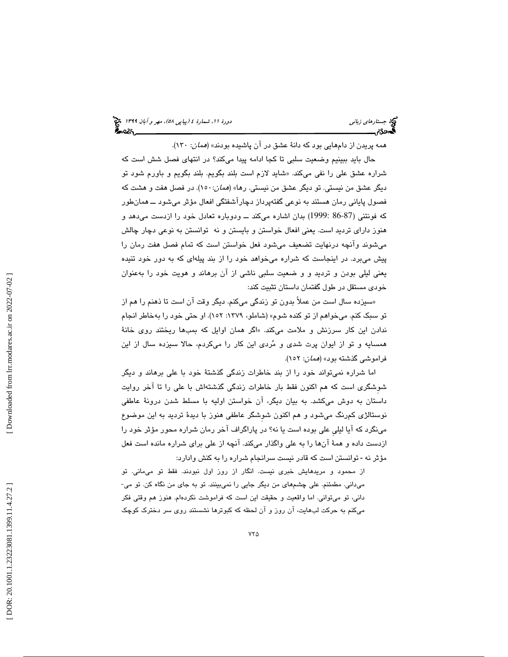(پياپي 58)، مهر و آبان 1399 جستارهاي زباني دورة ،11 شمارة 4

همه پريدن از دامهايي بود كه دانة عشق در آن پاشيده بودند» (همان: 130 ).

حال بايد ببينيم وضعيت سلبي تا كجا ادامه پيدا ميكند؟ در انتهاي فصل شش است كه شراره عشق علی را نفی میکند. «شاید لازم است بلند بگویم. بلند بگویم و باورم شود تو ديگر عشق من نيستي. تو ديگر عشق من نيستي. رها» (*همان*:١٥٠). در فصل هفت و هشت كه فصول پایانی رمان هستند به نوعی گفتهپرداز دچاراشفتگی افعال مؤثر میشود ـــ همانطور كه فونتني (86-87 1999:) بدان اشاره ميكند ــ ودوباره تعادل خود را ازدست ميدهد و هنوز داراي ترديد است. يعني افعال خواستن و بايستن و نه توانستن به نوعي دچار چالش ميشوند وآنچه درنهايت تضعيف ميشود فعل خواستن است كه تمام فصل هفت رمان را پيش ميبرد. در اينجاست كه شراره ميخواهد خود را از بند پيلهاي كه به دور خود تنيده يعني ليلي بودن و ترديد و و ضعيت سلبي ناشي از آن برهاند و هويت خود را بهعنوان خودي مستقل در طول گفتمان داستان تثبيت كند:

«سيزده سال است من عملاً بدون تو زندگي ميكنم. ديگر وقت ان است تا ذهنم را هم از تو سبك كنم. ميخواهم از تو كنده شوم» (شاملو، :1379 152). او حتي خود را بهخاطر انجام ندادن اين كار سرزنش و ملامت مىكند. «اگر همان اوايل كه بمبها ريختند روى خانهٔ همسايه و تو از ايوان پرت شدي و مردي اين كار را ميكردم، حالا سيزده سال از اين فراموشي گذشته بود» (همان: 152).

اما شراره نميتواند خود را از بند خاطرات زندگي گذشتة خود با علي برهاند و ديگر شوِشگري است كه هم اكنون فقط بار خاطرات زندگي گذشتهاش با علي را تا آخر روايت داستان به دوش ميكشد. به بيان ديگر، آن خواستن اوليه با مسلط شدن درونة عاطفي نوستالژي كمرنگ ميشود و هم اكنون شوِشگر عاطفي هنوز با ديدة ترديد به اين موضوع مينگرد كه آيا ليليِ علي بوده است يا نه؟ در پاراگراف آخر رمان شراره محور مؤثر خود را ازدست داده و همة آنها را به علي واگذار ميكند. آنچه از علي براي شراره مانده است فعل مؤثر نه - توانستن است كه قادر نيست سرانجام شراره را به كنش وادارد:

از محمود و مريدهايش خبري نيست. انگار از روز اول نبودند. فقط تو مىمانى. تو<br>مىداني. مطمئنم. علي چشمهاي من ديگر جايي را نمىبينند. تو به جاي من نگاه كن. تو مي-داني، تو ميتواني. اما واقعيت و حقيقت اين است كه فراموشت نكردهام. هنوز هم وقتي فكر ميكنم به حركت لبهايت، آن روز و آن لحظه كه كبوترها نشستند روي سر دخترك كوچك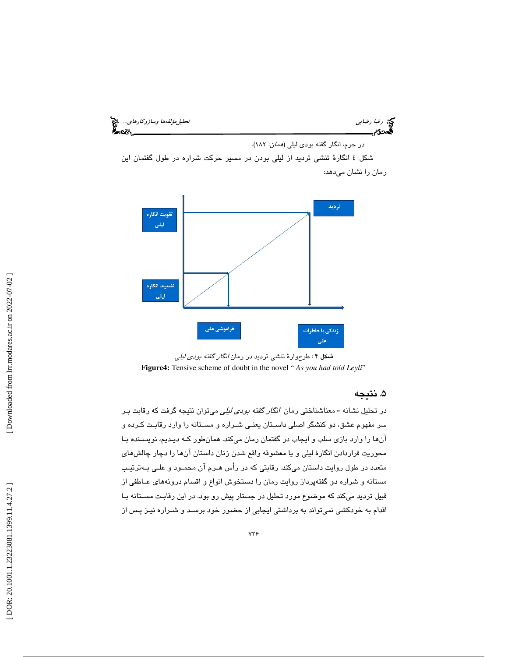رضا رضايي تحليلمؤلفهها وسازوكارهاي...

در حرم، انگار گفته بودي ليلي (همان: 182 ).

شكل 4 انگارة تنشي ترديد از ليلي بودن در مسير حركت شراره در طول گفتمان اين رمان را نشان ميدهد:



شكل ۴: طرحوارهٔ تنشي ترديد در رمان *انگار گفته بودي ليلي* **Figure4:** Tensive scheme of doubt in the novel " *As you had told Leyli*"

## ۵. نتيجه

در تحليل نشانه ـ معناشناختي رمان انگار گفته بودي ليلي ميتوان نتيجه گرفت كه رقابت بـر سر مفهوم عشق، دو كنشگر اصلي داسـتان يعنـي شـراره و مسـتانه را وارد رقابـت كـرده و آنها را وارد بازي سلب و ايجاب در گفتمان رمان ميكند. همانطور كـه ديـديم، نويسـنده بـا محوريت قراردادن انگارة ليلي و يا معشوقه واقع شدن زنان داستان آنها را دچار چالشهاي متعدد در طول روايت داستان ميكند. رقابتي كه در رأس هـرم آن محمـود و علـي بـه ترتيـب مستانه و شراره دو گفتهپرداز روايت رمان را دستخوش انواع و اقسام درونههاي عـاطفي از قبيل ترديد ميكند كه موضوع مورد تحليل در جستار پيش رو بود. در اين رقابـت مسـتانه بـا اقدام به خودكشي نميتواند به برداشتي ايجابي از حضور خود برسـد و شـراره نيـز پـس از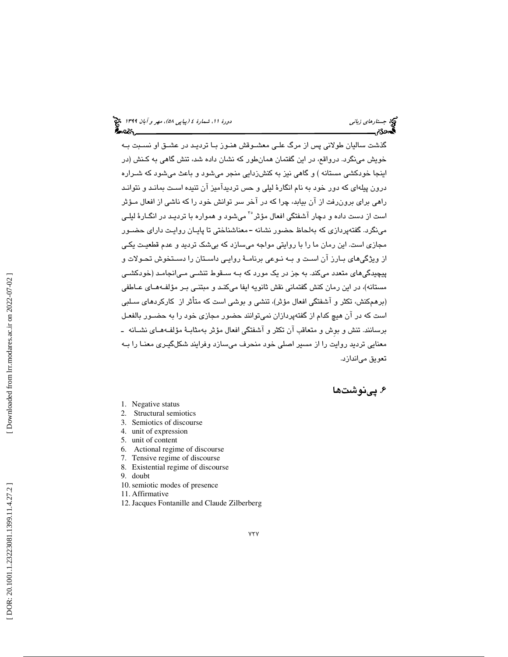گذشت ساليان طولاني پس از مرگ علـي معشـوقش هنـوز بـا ترديـد در عشـق او نسـبت بـه خويش مينگرد. درواقع، در اين گفتمان همانطور كه نشان داده شد، تنش گاهي به كـنش (در اينجا خودكشي مستانه ) و گاهي نيز به كنشزدايي منجر ميشود و باعث ميشود كه شـراره درون پيلهاي كه دور خود به نام انگارة ليلي و حس ترديدآميز آن تنيده اسـت بمانـد و نتوانـد راهي براي برونرفت از آن بيابد، چرا كه در آخر سر توانش خود را كه ناشي از افعال مـؤثر است از دست داده و دچار آشفتگی افعال مؤثر<sup>۳</sup> میشود و همواره با تردیـد در انگــارهٔ لیلــی مينگرد. گفتهپردازي كه بهلحاظ حضور نشانه -معناشناختي تا پايـان روايـت داراي حضـور مجازي است. اين رمان ما را با روايتي مواجه ميسازد كه بيشك ترديد و عدم قطعيـت يكـي از ويژگيهاي بـارز آن اسـت و بـه نـوعي برنامـة روايـي داسـتان را دسـتخوش تحـولات و پيچيدگيهاي متعدد ميكند. به جز در يك مورد كه بـه سـقوط تنشـي مـي انجامـد (خودكشـي مستانه)، در اين رمان كنش گفتماني نقش ثانويه ايفا ميكنـد و مبتنـي بـر مؤلفـه هـاي عـاطفي (برهمكنش، تكثر و آشفتگي افعال مؤثر)، تنشي و بوشي است كه متأثر از كاركردهاي سـلبي است كه در آن هيچ كدام از گفتهپردازان نميتوانند حضور مجازي خود را به حضـور بالفعـل برسانند. تنش و بوِش و متعاقب آن تكثر و آشفتگي افعال مؤثر بهمثابـة مؤلفـه هـاي نشـانه ـ معنايي ترديد روايت را از مسير اصلي خود منحرف ميسازد وفرايند شكلگيـري معنـا را بـه تعويق مياندازد.

# ۶. پینوشتها

- 1. Negative status
- 2. Structural semiotics
- 3. Semiotics of discourse
- 4. unit of expression
- 5. unit of content
- 6. Actional regime of discourse
- 7. Tensive regime of discourse
- 8. Existential regime of discourse
- 9. doubt
- 10.semiotic modes of presence
- 11. Affirmative
- 12.Jacques Fontanille and Claude Zilberberg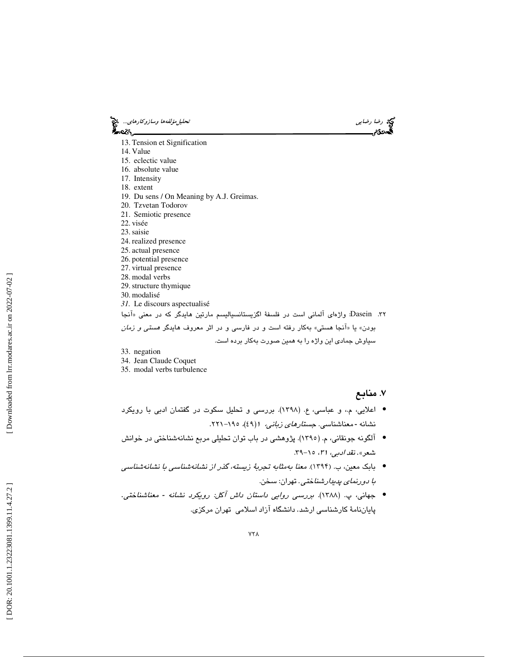رضا رضاي<sub>ي</sub> تحتج رضا باست تحليل مؤلفه ها وسازوكارهاي.... وتحتي تحليل مؤلفه ها وسازوكارهاي... وتحتي المجازية المج<br>المجموعة وسيس المجازية المجازية المجازية المجازية المجازية المجازية المجازية المجازية المجازية المجازية المج ీంలు.

- 13. Tension et Signification
- 14. Value
- 15. eclectic value
- 16. absolute value
- 17. Intensity
- 18. extent
- 19. Du sens / On Meaning by A.J. Greimas.
- 20. Tzvetan Todorov
- 21. Semiotic presence
- 22. visée
- 23.saisie
- 24. realized presence
- 25. actual presence
- 26. potential presence
- 27. virtual presence
- 28. modal verbs
- 29.structure thymique
- 30. modalisé
- *31.* Le discours aspectualisé

۳۲. Dasein: واژهای آلمانی است در فلسفهٔ اگزیستانسیالیسم مارتین هایدگر که در معنی «آنجا بودن» يا «آنجا هستي» بهكار رفته است و در فارسي و در اثر معروف هايدگر *هستي و زمان* 

سياوش جمادي اين واژه را به همين صورت به كار برده است.

- 33. negation
- 34. Jean Claude Coquet
- 35. modal verbs turbulence

. 7 منابع

- اعلايي، م،. و عباسي، ع. (1398). بررسي و تحليل سكوت در گفتمان ادبي با رويكرد نشانه -معناشناسی. *جستارهای زبانی،* ۱(٤۹)*، ۱۹۰–۲*۲۱.
- آلگونه جونقاني، م. (١٣٩٥). پژوهشي در باب توان تحليلي مربع نشانهشناختي در خوانش شعر». نق*د ادبی، ۳۱، ۱۰–*۳۹.
- بابك معين، ب. ( 1394). معنا بهمثابه تجربة زيسته، گذر از نشانهشناسي با نشانهشناسي *با دورنماي پديدارشناختي.* تهران: سخن.
- جهاني، پ. (١٣٨٨). *بررسي روايي داستان داش آکل: رويکرد نشانه معناشناختي*. .<br>پایاننامهٔ کارشناسی ارشد. دانشگاه آزاد اسلامی تهران مرکزی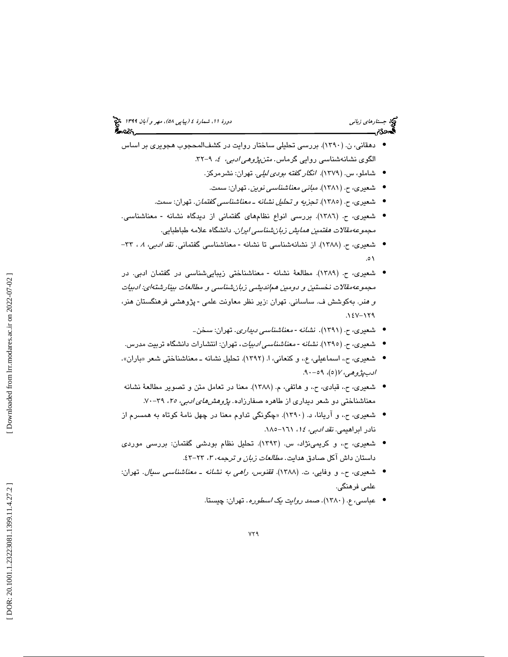# (پياپي 58)، مهر و آبان 1399 جستارهاي زباني دورة ،11 شمارة 4

- دهقاني، ن. (١٣٩٠). بررسي تحليلي ساختار روايت در كشف|لمحجوب هجويري بر اساس الگوی نشانهشناسی روایی گرماس. *متنپژوهی ادبی، ٤،* ۹-۳۲.
	- شاملو، س. (۱۳۷۹). *انگار گفته بودی لیلی*. تهران: نشرمرکز.
	- شعیری، ح. (۱۳۸۱). *مبانی معناشناسی نوین*. تهران: سمت.
	- شعیری، ح. (١٣٨٥). تجز*يه و تحليل نشانه ـ معناشناسي گفتمان*. تهران: سمت.
- شعیری، ح. (١٣٨٦). بررسی انواع نظامهای گفتمانی از دیدگاه نشانه معناشناسی. مجم*وعه مقالات هفتمین همایش زبان شناسی ایران.* دانشگاه علامه طباطبایی.
- شعیری، ح. (١٣٨٨). از نشانهشناسی تا نشانه معناشناسی گفتمانی. *نقد ادبی، ۸*، ۳۳-0١.
- شعیری، ح. (۱۳۸۹). مطالعهٔ نشانه معناشناختی زیباییشناسی در گفتمان ادبی. در مجموعه مقالات نخستين و دومين هم انديشي زبان شناسي و مطالعات بينارشته اي: ادبيات و *هنر*. بهکوشش ف. ساسانی. تهران :زیر نظر معاونت علمی - پژوهشی فرهنگستان هنر، ۱٤۷-۱۲۹.
	- . • شعیری، ح. (۱۳۹۱). ن*شانه -معناشناسی دیداری*. تهران: سخن.
	- شعیری، ح. (١٣٩٥). *نشانه معناشناسی ادبیات*. تهران: انتشارات دانشگاه تربیت مدرس.
- شعیری، ح.، اسماعیلی، ع.، و کنعانی، ا. (۱۳۹۲). تحلیل نشانه ــ معناشناختی شعر «باران». ادبپژوهي، ۱۷ (٥)، ۵۹-۹۰.
- شعیری، ح.، قبادی، ح.، و هاتفی، م. (١٣٨٨). معنا در تعامل متن و تصویر مطالعهٔ نشانه معناشناختی دو شعر دیداری از طاهره صفارزاده. *پژوهشهای ادبی، ۲۵*، ۳۹-۷۰.
- شعيري، ح،. و آريانا، د. (1390 «). چگونگي تداوم معنا در چهل نامة كوتاه به همسرم از نادر ابراهيمي. *نقد ادبي، ١٤، ١٦١*-١٨٥.
- شعيري، ح،. و كريمينژاد، س. (1393). تحليل نظام بودشي گفتمان: بررسي موردي داستان داش آكل صادق هدايت. *مطالعات زبان و ترجمه، ۳،* ۲۳-۶۳.
- شعیری، ح.، و وفایی، ت. (۱۳۸۸). ققن*وس، راهی به نشانه ـ معناشناسی سیال*. تهران: علمي فرهنگي.
	- عباسي، ع. (١٣٨٠). ص*مد روايت يک اسطوره*. تهران: چيستا.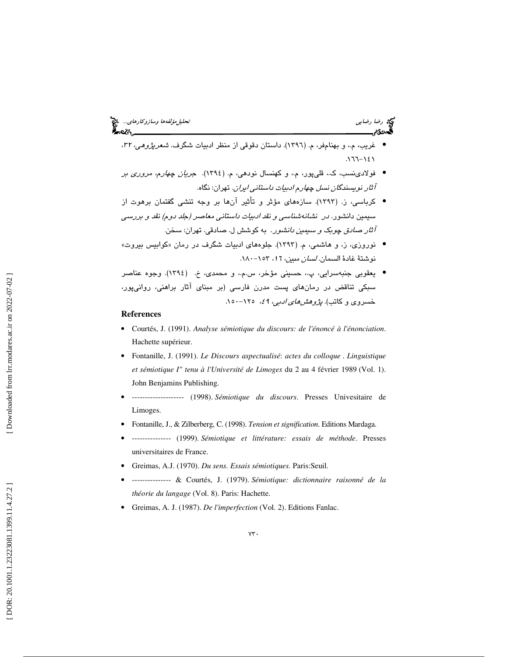- غريب، م.، و بهنامفر، م. (١٣٩٦). داستان دقوقي از منظر ادبيات شگرف. *شعرپژوهي، ٣٢*، ۱ ۱۲-۱۶۱.
- فولادينسب، ك،. قليپور، م،. و كهنسال نودهي، م. (1394). جريان چهارم، مروري بر آثار نويسندگان نسل چهارم ادبيات داستاني ايران. تهران: نگاه.
- كرباسي، ز. (١٣٩٣). سازههاي مؤثر و تأثير آنها بر وجه تنشي گفتمان برهوت از سيمين دانشور. *در نشانهشناسي و نقد ادبيات داستاني معاصد (جلد دوم) نقد و بررسي*<br>*آثار صادق چوبک و سيمين دانشور*. به کوشش ل. صادقي. تهران: سخن.
- نوروزي، ز، و هاشمي، م. (۱۳۹۳). جلوههاي ادبيات شگرف در رمان «كوابيس بيروت» نوشتة غادة السمان. *لسان مبين، ١٦،* ١٥٣–١٨٠.
- يعقوبي جنبهسرايي، پ،. حسيني مؤخر، س.م،. و محمدي، خ. ( 1394). وجوه عناصر سبکی تناقض در رمانهای پست مدرن فارسی (بر مبنای آثار براهنی، روانیپور،<br>خسروی و کاتب)*. پژوهشهای ادبی، 4؟*، ۱۲۵–۱۰۰.

#### **References**

- Courtés, J. (1991). *Analyse sémiotique du discours: de l'énoncé à l'énonciation*. Hachette supérieur.
- Fontanille, J. (1991). *Le Discours aspectualisé*: *actes du colloque*  . *Linguistique et sémiotique I" tenu à l'Université de Limoges* du 2 au 4 février 1989 (Vol. 1). John Benjamins Publishing.
- -------------------- (1998). *Sémiotique du discours*. Presses Univesitaire de Limoges.
- Fontanille, J., & Zilberberg, C. (1998). *Tension et signification*. Editions Mardaga.
- --------------- (1999). *Sémiotique et littérature: essais de méthode*. Presses universitaires de France.
- Greimas, A.J. (1970). *Du sens. Essais sémiotiques.* Paris:Seuil.
- --------------- & Courtés, J. (1979). *Sémiotique: dictionnaire raisonné de la théorie du langage* (Vol. 8). Paris: Hachette.
- Greimas, A. J. (1987). *De l'imperfection* (Vol. 2). Editions Fanlac.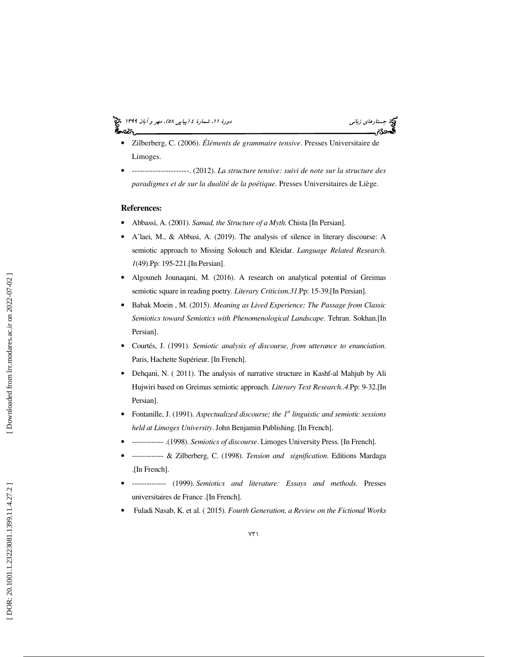# (پياپي 58)، مهر و آبان 1399 جستارهاي زباني دورة ،11 شمارة 4

- Zilberberg, C. (2006). *Éléments de grammaire tensive*. Presses Universitaire de Limoges.
- ----------------------. (2012). *La structure tensive: suivi de note sur la structure des paradigmes et de sur la dualité de la poétique*. Presses Universitaires de Liège.

#### **References:**

- Abbassi, A. (2001). *Samad, the Structure of a Myth*. Chista [In Persian].
- A'laei, M., & Abbasi, A. (2019). The analysis of silence in literary discourse: A semiotic approach to Missing Solouch and Kleidar. *Language Related Research*. *1*(49).Pp: 195-221.[In Persian].
- Algouneh Jounaqani, M. (2016). A research on analytical potential of Greimas semiotic square in reading poetry. *Literary Criticism* .*31*.Pp: 15-39.[In Persian].
- Babak Moein , M. (2015). *Meaning as Lived Experience; The Passage from Classic Semiotics toward Semiotics with Phenomenological Landscape*. Tehran. Sokhan.[In Persian].
- Courtés, J. (1991). *Semiotic analysis of discourse, from utterance to enunciation*. Paris, Hachette Supérieur. [In French].
- Dehqani, N. ( 2011). The analysis of narrative structure in Kashf-al Mahjub by Ali Hujwiri based on Greimas semiotic approach. *Literary Text Research.* . *4*.Pp: 9-32.[In Persian].
- Fontanille, J. (1991). *Aspectualized discourse; the 1st linguistic and semiotic sessions held at Limoges University*. John Benjamin Publishing. [In French].
- ------------- .(1998). *Semiotics of discourse*. Limoges University Press. [In French].
- ------------- & Zilberberg, C. (1998). *Tension and signification*. Editions Mardaga .[In French].
- -------------- (1999). *Semiotics and literature: Essays and methods.* Presses universitaires de France .[In French].
- Fuladi Nasab, K. et al. ( 2015). *Fourth Generation, a Review on the Fictional Works*

Downloaded from lrr.modares.ac.ir on 2022-07-02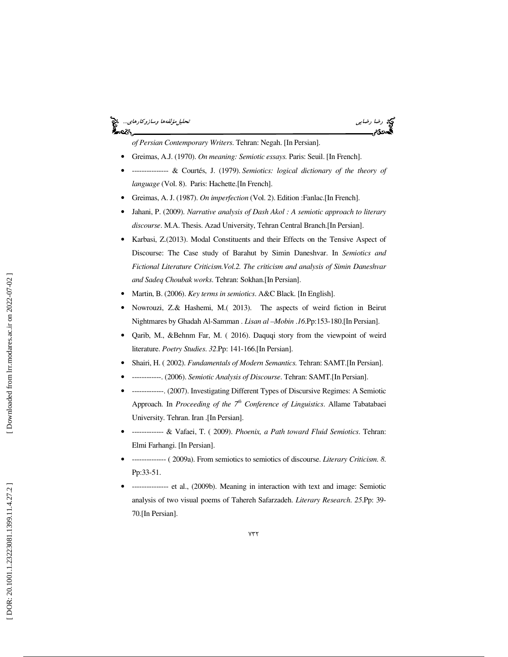## رضا رضايي تحليل رضايي تحليل باست تحليل مؤلفه ها وسازوكارهاي.... وفق المسافة وسازوكارهاي...<br>في حادث المسافة<br>كان حادث ેન્વ્ટર



*of Persian Contemporary Writers*. Tehran: Negah. [In Persian].

- Greimas, A.J. (1970). *On meaning: Semiotic essays.* Paris: Seuil. [In French].
- --------------- & Courtés, J. (1979). *Semiotics: logical dictionary of the theory of language* (Vol. 8). Paris: Hachette.[In French].
- Greimas, A. J. (1987). *On imperfection* (Vol. 2). Edition :Fanlac.[In French].
- Jahani, P. (2009). *Narrative analysis of Dash Akol : A semiotic approach to literary discourse*. M.A. Thesis. Azad University, Tehran Central Branch.[In Persian].
- Karbasi,  $Z(2013)$ . Modal Constituents and their Effects on the Tensive Aspect of Discourse: The Case study of Barahut by Simin Daneshvar. In *Semiotics and Fictional Literature Criticism.Vol.2. The criticism and analysis of Simin Daneshvar and Sadeq Choubak works*. Tehran: Sokhan.[In Persian].
- Martin, B. (2006). *Key terms in semiotics*. A&C Black. [In English].
- Nowrouzi, Z.& Hashemi, M.( 2013). The aspects of weird fiction in Beirut Nightmares by Ghadah Al-Samman . *Lisan al –Mobin* .*16*.Pp:153-180.[In Persian].
- Qarib, M., &Behnm Far, M. ( 2016). Daquqi story from the viewpoint of weird literature. *Poetry Studies*. *32*.Pp: 141-166.[In Persian].
- Shairi, H. ( 2002). *Fundamentals of Modern Semantics.* Tehran: SAMT.[In Persian].
- ------------. (2006). *Semiotic Analysis of Discourse*. Tehran: SAMT.[In Persian].
- -------------. (2007). Investigating Different Types of Discursive Regimes: A Semiotic Approach. In *Proceeding of the 7th Conference of Linguistics*. Allame Tabatabaei University. Tehran. Iran .[In Persian].
- ------------- & Vafaei, T. ( 2009). *Phoenix, a Path toward Fluid Semiotics*. Tehran: Elmi Farhangi. [In Persian].
- -------------- ( 2009a). From semiotics to semiotics of discourse. *Literary Criticism*. *8*. Pp:33-51.
- --------------- et al., (2009b). Meaning in interaction with text and image: Semiotic analysis of two visual poems of Tahereh Safarzadeh. *Literary Research*. *25*.Pp: 39- 70.[In Persian].